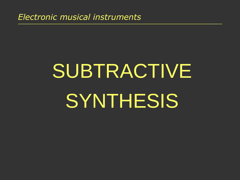*Electronic musical instruments*

# SUBTRACTIVE **SYNTHESIS**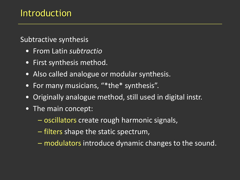#### Subtractive synthesis

- From Latin *subtractio*
- First synthesis method.
- Also called analogue or modular synthesis.
- For many musicians, "\*the\* synthesis".
- Originally analogue method, still used in digital instr.
- The main concept:
	- oscillators create rough harmonic signals,
	- filters shape the static spectrum,
	- modulators introduce dynamic changes to the sound.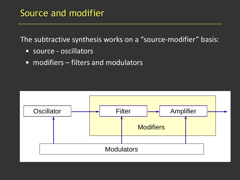The subtractive synthesis works on a "source-modifier" basis:

- source oscillators
- modifiers filters and modulators

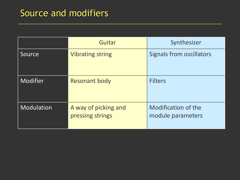## Source and modifiers

|                 | Guitar                                   | Synthesizer                              |
|-----------------|------------------------------------------|------------------------------------------|
| Source          | <b>Vibrating string</b>                  | <b>Signals from oscillators</b>          |
| <b>Modifier</b> | <b>Resonant body</b>                     | <b>Filters</b>                           |
| Modulation      | A way of picking and<br>pressing strings | Modification of the<br>module parameters |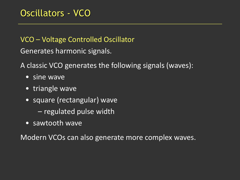VCO – Voltage Controlled Oscillator

Generates harmonic signals.

A classic VCO generates the following signals (waves):

- sine wave
- triangle wave
- square (rectangular) wave
	- regulated pulse width
- sawtooth wave

Modern VCOs can also generate more complex waves.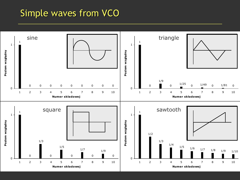### Simple waves from VCO

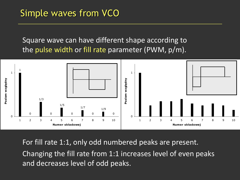## Simple waves from VCO

Square wave can have different shape according to the pulse width or fill rate parameter (PWM, p/m).



For fill rate 1:1, only odd numbered peaks are present. Changing the fill rate from 1:1 increases level of even peaks and decreases level of odd peaks.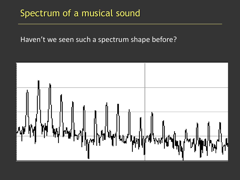#### Spectrum of a musical sound

#### Haven't we seen such a spectrum shape before?

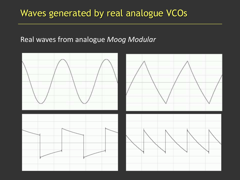#### Waves generated by real analogue VCOs

#### Real waves from analogue *Moog Modular*

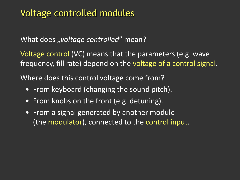What does *"voltage controlled*" mean?

Voltage control (VC) means that the parameters (e.g. wave frequency, fill rate) depend on the voltage of a control signal.

Where does this control voltage come from?

- From keyboard (changing the sound pitch).
- From knobs on the front (e.g. detuning).
- From a signal generated by another module (the modulator), connected to the control input.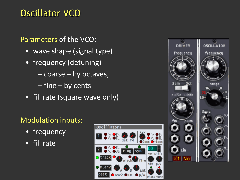## Oscillator VCO

#### Parameters of the VCO:

- wave shape (signal type)
- frequency (detuning)
	- coarse by octaves,
	- fine by cents
- fill rate (square wave only)

#### Modulation inputs:

- frequency
- fill rate



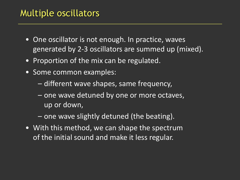## Multiple oscillators

- One oscillator is not enough. In practice, waves generated by 2-3 oscillators are summed up (mixed).
- Proportion of the mix can be regulated.
- Some common examples:
	- different wave shapes, same frequency,
	- one wave detuned by one or more octaves, up or down,
	- one wave slightly detuned (the beating).
- With this method, we can shape the spectrum of the initial sound and make it less regular.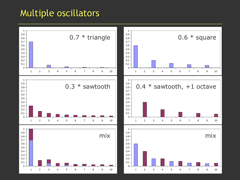#### Multiple oscillators

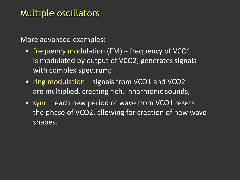More advanced examples:

- frequency modulation (FM) frequency of VCO1 is modulated by output of VCO2; generates signals with complex spectrum;
- ring modulation signals from VCO1 and VCO2 are multiplied, creating rich, inharmonic sounds,
- sync each new period of wave from VCO1 resets the phase of VCO2, allowing for creation of new wave shapes.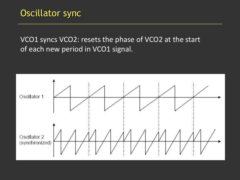VCO1 syncs VCO2: resets the phase of VCO2 at the start of each new period in VCO1 signal.

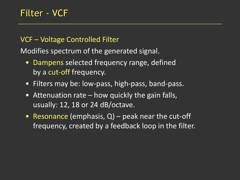#### VCF – Voltage Controlled Filter

Modifies spectrum of the generated signal.

- Dampens selected frequency range, defined by a cut-off frequency.
- Filters may be: low-pass, high-pass, band-pass.
- Attenuation rate how quickly the gain falls, usually: 12, 18 or 24 dB/octave.
- Resonance (emphasis,  $Q$ ) peak near the cut-off frequency, created by a feedback loop in the filter.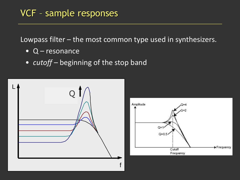Lowpass filter – the most common type used in synthesizers.

- Q resonance
- *cutoff* beginning of the stop band



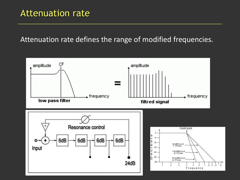#### Attenuation rate defines the range of modified frequencies.

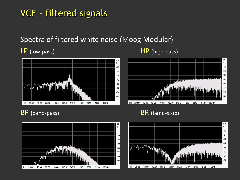## VCF – filtered signals

#### Spectra of filtered white noise (Moog Modular)



#### LP (low-pass) HP (high-pass)







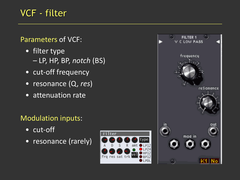## VCF - filter

#### Parameters of VCF:

- filter type – LP, HP, BP, *notch* (BS)
- cut-off frequency
- resonance (Q, *res*)
- attenuation rate

#### Modulation inputs:

- cut-off
- resonance (rarely)



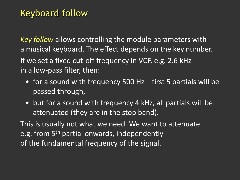*Key follow* allows controlling the module parameters with a musical keyboard. The effect depends on the key number. If we set a fixed cut-off frequency in VCF, e.g. 2.6 kHz in a low-pass filter, then:

- for a sound with frequency 500 Hz first 5 partials will be passed through,
- but for a sound with frequency 4 kHz, all partials will be attenuated (they are in the stop band).

This is usually not what we need. We want to attenuate e.g. from 5<sup>th</sup> partial onwards, independently of the fundamental frequency of the signal.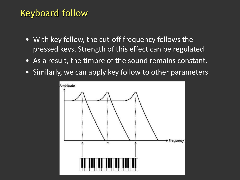## Keyboard follow

- With key follow, the cut-off frequency follows the pressed keys. Strength of this effect can be regulated.
- As a result, the timbre of the sound remains constant.
- Similarly, we can apply key follow to other parameters.

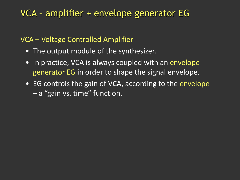#### VCA – Voltage Controlled Amplifier

- The output module of the synthesizer.
- In practice, VCA is always coupled with an envelope generator EG in order to shape the signal envelope.
- EG controls the gain of VCA, according to the envelope – a "gain vs. time" function.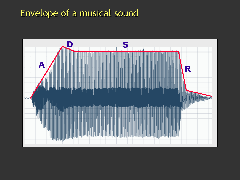## Envelope of a musical sound

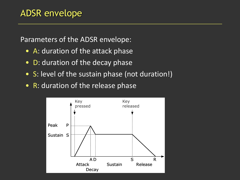Parameters of the ADSR envelope:

- A: duration of the attack phase
- D: duration of the decay phase
- S: level of the sustain phase (not duration!)
- R: duration of the release phase

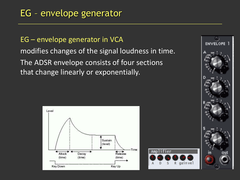EG – envelope generator in VCA modifies changes of the signal loudness in time. The ADSR envelope consists of four sections that change linearly or exponentially.





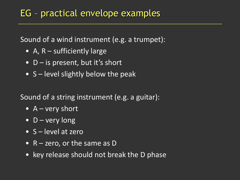Sound of a wind instrument (e.g. a trumpet):

- A, R sufficiently large
- $D -$  is present, but it's short
- S level slightly below the peak

Sound of a string instrument (e.g. a guitar):

- $A very short$
- $D$  very long
- S level at zero
- R zero, or the same as D
- key release should not break the D phase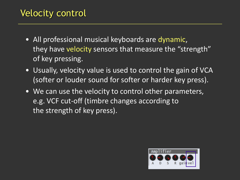## Velocity control

- All professional musical keyboards are dynamic, they have velocity sensors that measure the "strength" of key pressing.
- Usually, velocity value is used to control the gain of VCA (softer or louder sound for softer or harder key press).
- We can use the velocity to control other parameters, e.g. VCF cut-off (timbre changes according to the strength of key press).

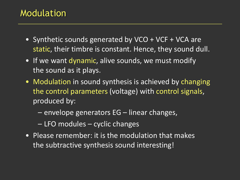#### Modulation

- Synthetic sounds generated by VCO + VCF + VCA are static, their timbre is constant. Hence, they sound dull.
- If we want dynamic, alive sounds, we must modify the sound as it plays.
- Modulation in sound synthesis is achieved by changing the control parameters (voltage) with control signals, produced by:
	- envelope generators EG linear changes,
	- LFO modules cyclic changes
- Please remember: it is the modulation that makes the subtractive synthesis sound interesting!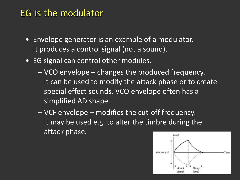### EG is the modulator

- Envelope generator is an example of a modulator. It produces a control signal (not a sound).
- EG signal can control other modules.
	- VCO envelope changes the produced frequency. It can be used to modify the attack phase or to create special effect sounds. VCO envelope often has a simplified AD shape.
	- VCF envelope modifies the cut-off frequency. It may be used e.g. to alter the timbre during the attack phase.

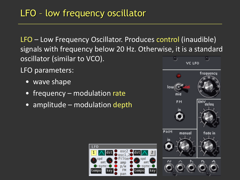LFO – Low Frequency Oscillator. Produces control (inaudible) signals with frequency below 20 Hz. Otherwise, it is a standard oscillator (similar to VCO).

LFO parameters:

- wave shape
- frequency modulation rate
- amplitude modulation depth



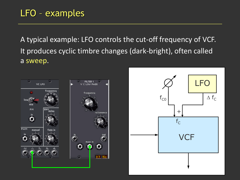## LFO – examples

A typical example: LFO controls the cut-off frequency of VCF. It produces cyclic timbre changes (dark-bright), often called a sweep.

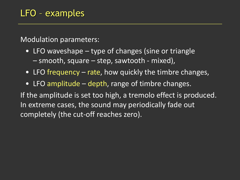Modulation parameters:

- LFO waveshape type of changes (sine or triangle – smooth, square – step, sawtooth - mixed),
- LFO frequency rate, how quickly the timbre changes,
- LFO amplitude depth, range of timbre changes.

If the amplitude is set too high, a tremolo effect is produced. In extreme cases, the sound may periodically fade out completely (the cut-off reaches zero).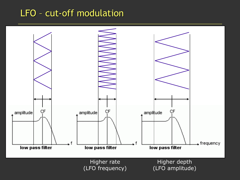#### LFO – cut-off modulation

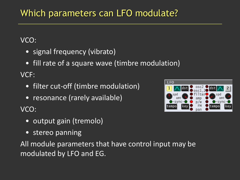## Which parameters can LFO modulate?

#### VCO:

- signal frequency (vibrato)
- fill rate of a square wave (timbre modulation)

#### VCF:

- filter cut-off (timbre modulation)
- resonance (rarely available)

VCO:

- output gain (tremolo)
- stereo panning

All module parameters that have control input may be modulated by LFO and EG.

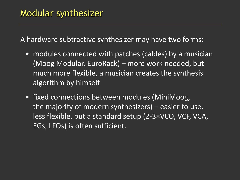A hardware subtractive synthesizer may have two forms:

- modules connected with patches (cables) by a musician (Moog Modular, EuroRack) – more work needed, but much more flexible, a musician creates the synthesis algorithm by himself
- fixed connections between modules (MiniMoog, the majority of modern synthesizers) – easier to use, less flexible, but a standard setup (2-3×VCO, VCF, VCA, EGs, LFOs) is often sufficient.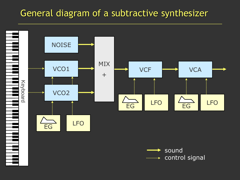## General diagram of a subtractive synthesizer

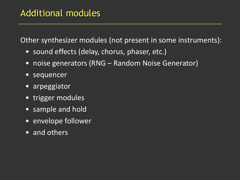## Additional modules

Other synthesizer modules (not present in some instruments):

- sound effects (delay, chorus, phaser, etc.)
- noise generators (RNG Random Noise Generator)
- sequencer
- arpeggiator
- trigger modules
- sample and hold
- envelope follower
- and others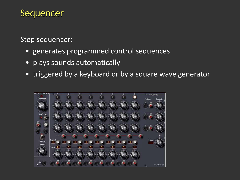Step sequencer:

- generates programmed control sequences
- plays sounds automatically
- triggered by a keyboard or by a square wave generator

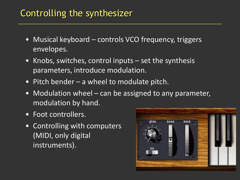## Controlling the synthesizer

- Musical keyboard controls VCO frequency, triggers envelopes.
- Knobs, switches, control inputs set the synthesis parameters, introduce modulation.
- Pitch bender a wheel to modulate pitch.
- Modulation wheel can be assigned to any parameter, modulation by hand.
- Foot controllers.
- Controlling with computers (MIDI, only digital instruments).

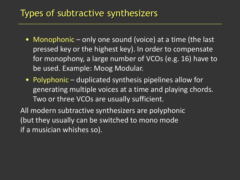#### Types of subtractive synthesizers

- Monophonic only one sound (voice) at a time (the last pressed key or the highest key). In order to compensate for monophony, a large number of VCOs (e.g. 16) have to be used. Example: Moog Modular.
- Polyphonic duplicated synthesis pipelines allow for generating multiple voices at a time and playing chords. Two or three VCOs are usually sufficient.

All modern subtractive synthesizers are polyphonic (but they usually can be switched to mono mode if a musician whishes so).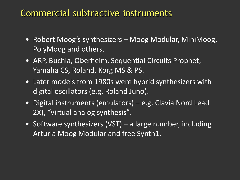#### Commercial subtractive instruments

- Robert Moog's synthesizers Moog Modular, MiniMoog, PolyMoog and others.
- ARP, Buchla, Oberheim, Sequential Circuits Prophet, Yamaha CS, Roland, Korg MS & PS.
- Later models from 1980s were hybrid synthesizers with digital oscillators (e.g. Roland Juno).
- Digital instruments (emulators) e.g. Clavia Nord Lead 2X), "virtual analog synthesis".
- Software synthesizers (VST) a large number, including Arturia Moog Modular and free Synth1.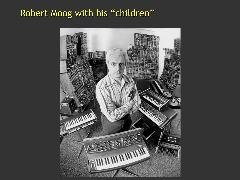#### Robert Moog with his "children"

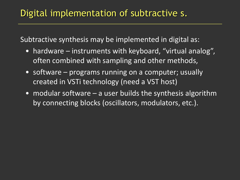#### Digital implementation of subtractive s.

Subtractive synthesis may be implemented in digital as:

- hardware instruments with keyboard, "virtual analog", often combined with sampling and other methods,
- software programs running on a computer; usually created in VSTi technology (need a VST host)
- modular software a user builds the synthesis algorithm by connecting blocks (oscillators, modulators, etc.).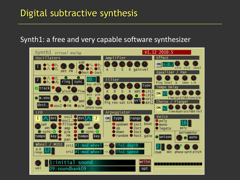## Digital subtractive synthesis

#### Synth1: a free and very capable software synthesizer

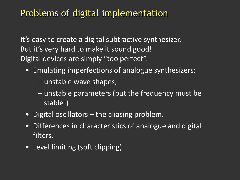It's easy to create a digital subtractive synthesizer. But it's very hard to make it sound good! Digital devices are simply "too perfect".

- Emulating imperfections of analogue synthesizers:
	- unstable wave shapes,
	- unstable parameters (but the frequency must be stable!)
- Digital oscillators the aliasing problem.
- Differences in characteristics of analogue and digital filters.
- Level limiting (soft clipping).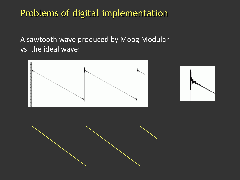## Problems of digital implementation

A sawtooth wave produced by Moog Modular vs. the ideal wave:



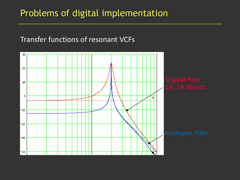#### Problems of digital implementation

#### Transfer functions of resonant VCFs

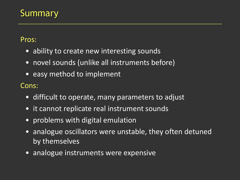Pros:

- ability to create new interesting sounds
- novel sounds (unlike all instruments before)
- easy method to implement

Cons:

- difficult to operate, many parameters to adjust
- it cannot replicate real instrument sounds
- problems with digital emulation
- analogue oscillators were unstable, they often detuned by themselves
- analogue instruments were expensive